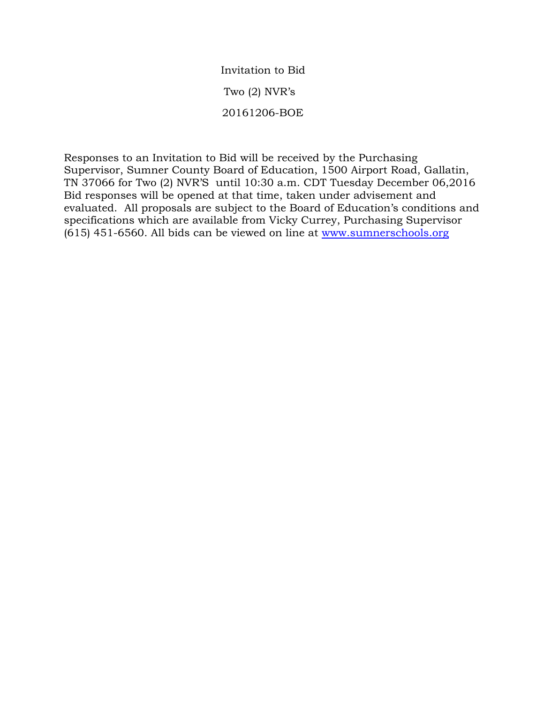Invitation to Bid Two (2) NVR's 20161206-BOE

Responses to an Invitation to Bid will be received by the Purchasing Supervisor, Sumner County Board of Education, 1500 Airport Road, Gallatin, TN 37066 for Two (2) NVR'S until 10:30 a.m. CDT Tuesday December 06,2016 Bid responses will be opened at that time, taken under advisement and evaluated. All proposals are subject to the Board of Education's conditions and specifications which are available from Vicky Currey, Purchasing Supervisor (615) 451-6560. All bids can be viewed on line at [www.sumnerschools.org](http://www.sumnerschools.org/)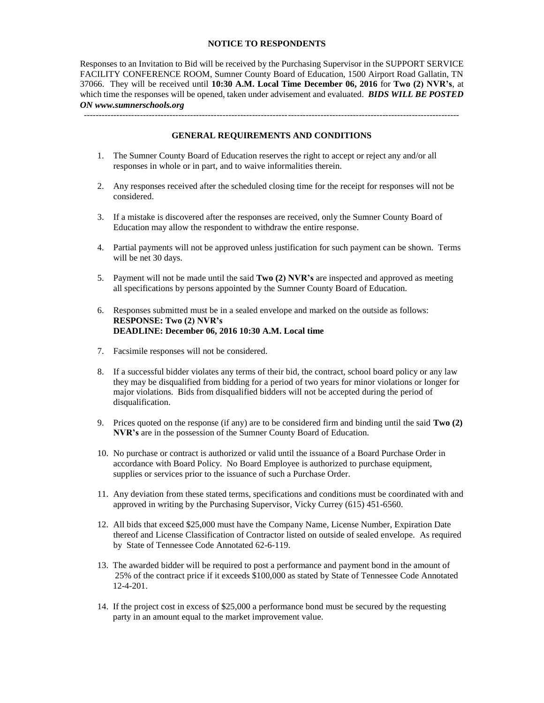## **NOTICE TO RESPONDENTS**

Responses to an Invitation to Bid will be received by the Purchasing Supervisor in the SUPPORT SERVICE FACILITY CONFERENCE ROOM, Sumner County Board of Education, 1500 Airport Road Gallatin, TN 37066. They will be received until **10:30 A.M. Local Time December 06, 2016** for **Two (2) NVR's**, at which time the responses will be opened, taken under advisement and evaluated. *BIDS WILL BE POSTED ON www.sumnerschools.org*

**GENERAL REQUIREMENTS AND CONDITIONS**

-------------------------------------------------------------------------------------------------------------------------------

- 1. The Sumner County Board of Education reserves the right to accept or reject any and/or all responses in whole or in part, and to waive informalities therein.
- 2. Any responses received after the scheduled closing time for the receipt for responses will not be considered.
- 3. If a mistake is discovered after the responses are received, only the Sumner County Board of Education may allow the respondent to withdraw the entire response.
- 4. Partial payments will not be approved unless justification for such payment can be shown. Terms will be net 30 days.
- 5. Payment will not be made until the said **Two (2) NVR's** are inspected and approved as meeting all specifications by persons appointed by the Sumner County Board of Education.
- 6. Responses submitted must be in a sealed envelope and marked on the outside as follows: **RESPONSE: Two (2) NVR's DEADLINE: December 06, 2016 10:30 A.M. Local time**
- 7. Facsimile responses will not be considered.
- 8. If a successful bidder violates any terms of their bid, the contract, school board policy or any law they may be disqualified from bidding for a period of two years for minor violations or longer for major violations. Bids from disqualified bidders will not be accepted during the period of disqualification.
- 9. Prices quoted on the response (if any) are to be considered firm and binding until the said **Two (2) NVR's** are in the possession of the Sumner County Board of Education.
- 10. No purchase or contract is authorized or valid until the issuance of a Board Purchase Order in accordance with Board Policy. No Board Employee is authorized to purchase equipment, supplies or services prior to the issuance of such a Purchase Order.
- 11. Any deviation from these stated terms, specifications and conditions must be coordinated with and approved in writing by the Purchasing Supervisor, Vicky Currey (615) 451-6560.
- 12. All bids that exceed \$25,000 must have the Company Name, License Number, Expiration Date thereof and License Classification of Contractor listed on outside of sealed envelope. As required by State of Tennessee Code Annotated 62-6-119.
- 13. The awarded bidder will be required to post a performance and payment bond in the amount of 25% of the contract price if it exceeds \$100,000 as stated by State of Tennessee Code Annotated 12-4-201.
- 14. If the project cost in excess of \$25,000 a performance bond must be secured by the requesting party in an amount equal to the market improvement value.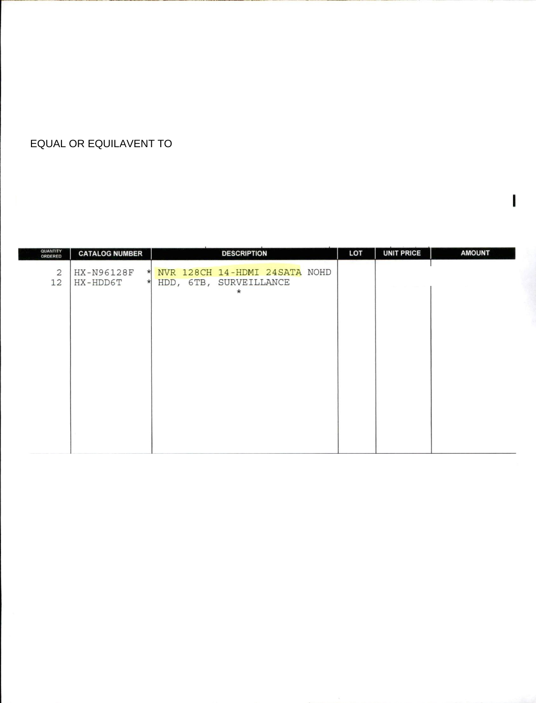## **EQUAL OR EQUILAVENT TO**

| QUANTITY<br>ORDERED  | <b>CATALOG NUMBER</b>                        | <b>DESCRIPTION</b>                                                  | LOT | <b>UNIT PRICE</b> | <b>AMOUNT</b> |
|----------------------|----------------------------------------------|---------------------------------------------------------------------|-----|-------------------|---------------|
| $\overline{c}$<br>12 | HX-N96128F<br>$\star$<br>HX-HDD6T<br>$\star$ | NVR 128CH 14-HDMI 24SATA NOHD<br>HDD, 6TB, SURVEILLANCE<br>$^\star$ |     |                   |               |
|                      |                                              |                                                                     |     |                   |               |
|                      |                                              |                                                                     |     |                   |               |